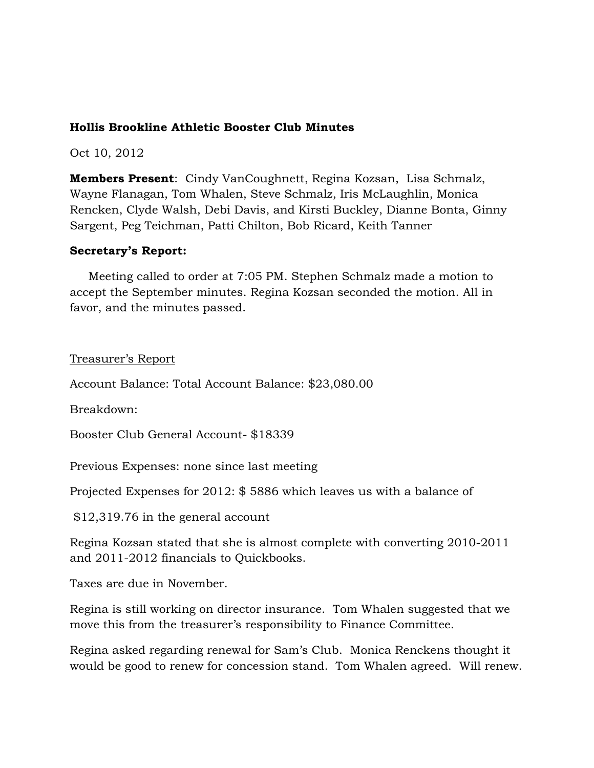### **Hollis Brookline Athletic Booster Club Minutes**

Oct 10, 2012

**Members Present**: Cindy VanCoughnett, Regina Kozsan, Lisa Schmalz, Wayne Flanagan, Tom Whalen, Steve Schmalz, Iris McLaughlin, Monica Rencken, Clyde Walsh, Debi Davis, and Kirsti Buckley, Dianne Bonta, Ginny Sargent, Peg Teichman, Patti Chilton, Bob Ricard, Keith Tanner

### **Secretary's Report:**

 Meeting called to order at 7:05 PM. Stephen Schmalz made a motion to accept the September minutes. Regina Kozsan seconded the motion. All in favor, and the minutes passed.

### Treasurer's Report

Account Balance: Total Account Balance: \$23,080.00

Breakdown:

Booster Club General Account- \$18339

Previous Expenses: none since last meeting

Projected Expenses for 2012: \$ 5886 which leaves us with a balance of

\$12,319.76 in the general account

Regina Kozsan stated that she is almost complete with converting 2010-2011 and 2011-2012 financials to Quickbooks.

Taxes are due in November.

Regina is still working on director insurance. Tom Whalen suggested that we move this from the treasurer's responsibility to Finance Committee.

Regina asked regarding renewal for Sam's Club. Monica Renckens thought it would be good to renew for concession stand. Tom Whalen agreed. Will renew.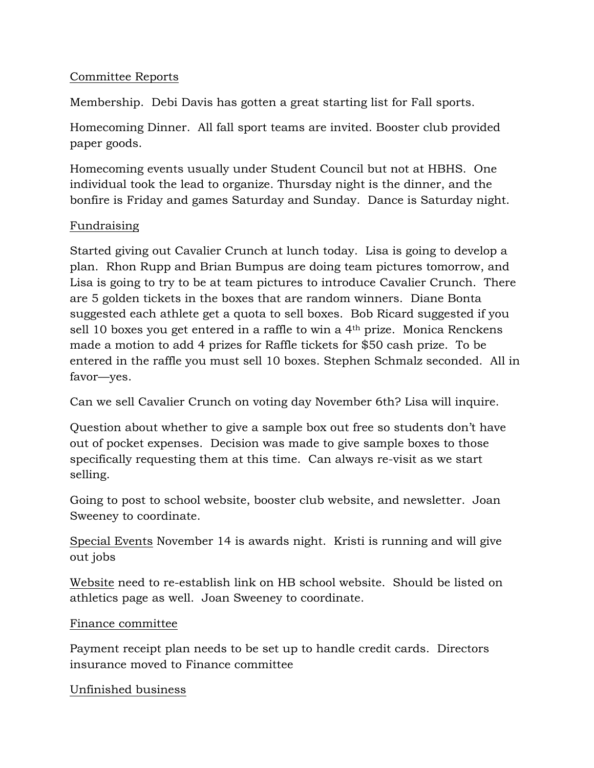## Committee Reports

Membership. Debi Davis has gotten a great starting list for Fall sports.

Homecoming Dinner. All fall sport teams are invited. Booster club provided paper goods.

Homecoming events usually under Student Council but not at HBHS. One individual took the lead to organize. Thursday night is the dinner, and the bonfire is Friday and games Saturday and Sunday. Dance is Saturday night.

# Fundraising

Started giving out Cavalier Crunch at lunch today. Lisa is going to develop a plan. Rhon Rupp and Brian Bumpus are doing team pictures tomorrow, and Lisa is going to try to be at team pictures to introduce Cavalier Crunch. There are 5 golden tickets in the boxes that are random winners. Diane Bonta suggested each athlete get a quota to sell boxes. Bob Ricard suggested if you sell 10 boxes you get entered in a raffle to win a 4th prize. Monica Renckens made a motion to add 4 prizes for Raffle tickets for \$50 cash prize. To be entered in the raffle you must sell 10 boxes. Stephen Schmalz seconded. All in favor—yes.

Can we sell Cavalier Crunch on voting day November 6th? Lisa will inquire.

Question about whether to give a sample box out free so students don't have out of pocket expenses. Decision was made to give sample boxes to those specifically requesting them at this time. Can always re-visit as we start selling.

Going to post to school website, booster club website, and newsletter. Joan Sweeney to coordinate.

Special Events November 14 is awards night. Kristi is running and will give out jobs

Website need to re-establish link on HB school website. Should be listed on athletics page as well. Joan Sweeney to coordinate.

### Finance committee

Payment receipt plan needs to be set up to handle credit cards. Directors insurance moved to Finance committee

### Unfinished business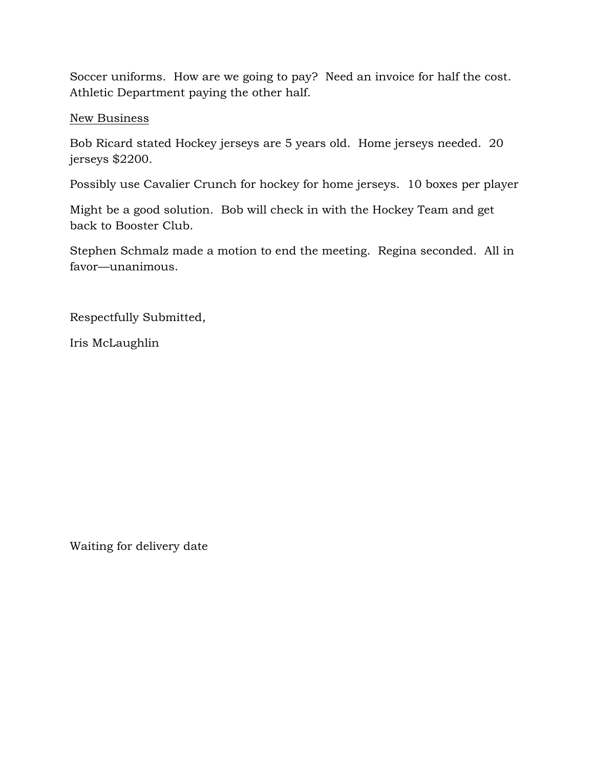Soccer uniforms. How are we going to pay? Need an invoice for half the cost. Athletic Department paying the other half.

### New Business

Bob Ricard stated Hockey jerseys are 5 years old. Home jerseys needed. 20 jerseys \$2200.

Possibly use Cavalier Crunch for hockey for home jerseys. 10 boxes per player

Might be a good solution. Bob will check in with the Hockey Team and get back to Booster Club.

Stephen Schmalz made a motion to end the meeting. Regina seconded. All in favor—unanimous.

Respectfully Submitted,

Iris McLaughlin

Waiting for delivery date